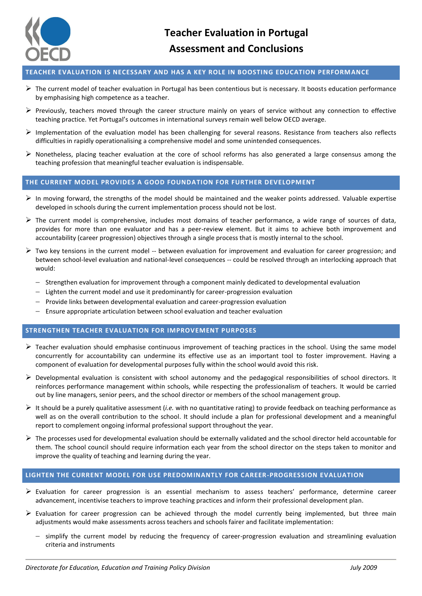

# **TEACHER EVALUATION IS NECESSARY AND HAS A KEY ROLE IN BOOSTING EDUCATION PERFORMANCE**

- $\triangleright$  The current model of teacher evaluation in Portugal has been contentious but is necessary. It boosts education performance by emphasising high competence as a teacher.
- $\triangleright$  Previously, teachers moved through the career structure mainly on years of service without any connection to effective teaching practice. Yet Portugal's outcomes in international surveys remain well below OECD average.
- $\triangleright$  Implementation of the evaluation model has been challenging for several reasons. Resistance from teachers also reflects difficulties in rapidly operationalising a comprehensive model and some unintended consequences.
- $\triangleright$  Nonetheless, placing teacher evaluation at the core of school reforms has also generated a large consensus among the teaching profession that meaningful teacher evaluation is indispensable.

## **THE CURRENT MODEL PROVIDES A GOOD FOUNDATION FOR FURTHER DEVELOPMENT**

- $\triangleright$  In moving forward, the strengths of the model should be maintained and the weaker points addressed. Valuable expertise developed in schools during the current implementation process should not be lost.
- $\triangleright$  The current model is comprehensive, includes most domains of teacher performance, a wide range of sources of data, provides for more than one evaluator and has a peer-review element. But it aims to achieve both improvement and accountability (career progression) objectives through a single process that is mostly internal to the school.
- $\triangleright$  Two key tensions in the current model -- between evaluation for improvement and evaluation for career progression; and between school-level evaluation and national-level consequences -- could be resolved through an interlocking approach that would:
	- $-$  Strengthen evaluation for improvement through a component mainly dedicated to developmental evaluation
	- $-$  Lighten the current model and use it predominantly for career-progression evaluation
	- $-$  Provide links between developmental evaluation and career-progression evaluation
	- Ensure appropriate articulation between school evaluation and teacher evaluation

#### **STRENGTHEN TEACHER EVALUATION FOR IMPROVEMENT PURPOSES**

- $\triangleright$  Teacher evaluation should emphasise continuous improvement of teaching practices in the school. Using the same model concurrently for accountability can undermine its effective use as an important tool to foster improvement. Having a component of evaluation for developmental purposes fully within the school would avoid this risk.
- $\triangleright$  Developmental evaluation is consistent with school autonomy and the pedagogical responsibilities of school directors. It reinforces performance management within schools, while respecting the professionalism of teachers. It would be carried out by line managers, senior peers, and the school director or members of the school management group.
- It should be a purely qualitative assessment (*i.e.* with no quantitative rating) to provide feedback on teaching performance as well as on the overall contribution to the school. It should include a plan for professional development and a meaningful report to complement ongoing informal professional support throughout the year.
- $\triangleright$  The processes used for developmental evaluation should be externally validated and the school director held accountable for them. The school council should require information each year from the school director on the steps taken to monitor and improve the quality of teaching and learning during the year.

#### **LIGHTEN THE CURRENT MODEL FOR USE PREDOMINANTLY FOR CAREER-PROGRESSION EVALUATION**

- $\triangleright$  Evaluation for career progression is an essential mechanism to assess teachers' performance, determine career advancement, incentivise teachers to improve teaching practices and inform their professional development plan.
- $\triangleright$  Evaluation for career progression can be achieved through the model currently being implemented, but three main adjustments would make assessments across teachers and schools fairer and facilitate implementation:
	- $-$  simplify the current model by reducing the frequency of career-progression evaluation and streamlining evaluation criteria and instruments